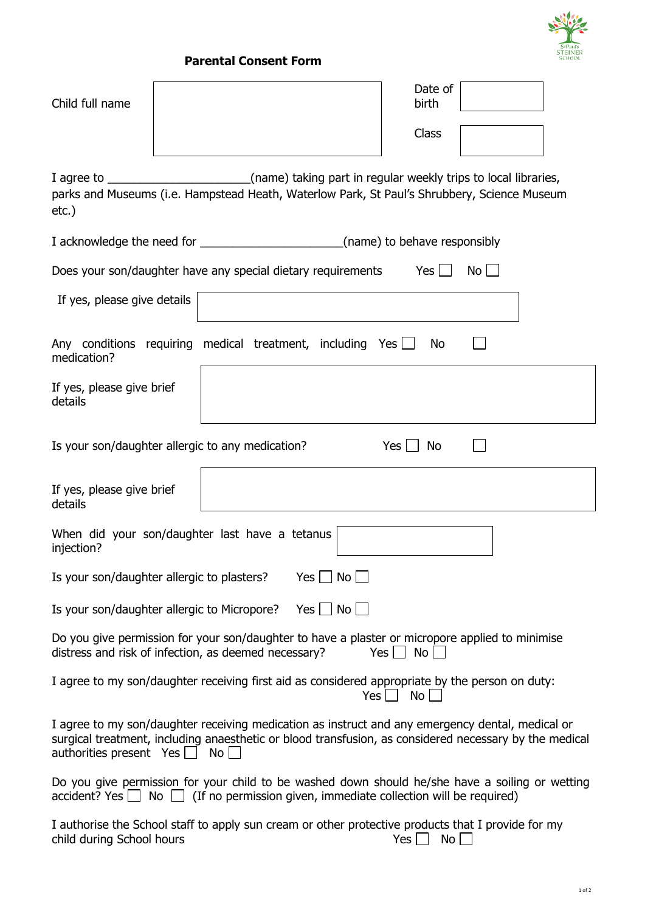

## **Parental Consent Form**

| Child full name                                                                                                                                                                                                                                      |  | Date of<br>birth<br>Class |  |  |  |  |
|------------------------------------------------------------------------------------------------------------------------------------------------------------------------------------------------------------------------------------------------------|--|---------------------------|--|--|--|--|
| I agree to _________________________(name) taking part in regular weekly trips to local libraries,<br>parks and Museums (i.e. Hampstead Heath, Waterlow Park, St Paul's Shrubbery, Science Museum<br>$etc.$ )                                        |  |                           |  |  |  |  |
| I acknowledge the need for _________________________________(name) to behave responsibly                                                                                                                                                             |  |                           |  |  |  |  |
| $Yes$    <br>Does your son/daughter have any special dietary requirements<br>$No$ $\Box$                                                                                                                                                             |  |                           |  |  |  |  |
| If yes, please give details                                                                                                                                                                                                                          |  |                           |  |  |  |  |
| Any conditions requiring medical treatment, including Yes<br>No<br>medication?                                                                                                                                                                       |  |                           |  |  |  |  |
| If yes, please give brief<br>details                                                                                                                                                                                                                 |  |                           |  |  |  |  |
| Is your son/daughter allergic to any medication?<br>$Yes \Box$<br>No                                                                                                                                                                                 |  |                           |  |  |  |  |
| If yes, please give brief<br>details                                                                                                                                                                                                                 |  |                           |  |  |  |  |
| When did your son/daughter last have a tetanus<br>injection?                                                                                                                                                                                         |  |                           |  |  |  |  |
| Is your son/daughter allergic to plasters?<br>$Yes \mid \text{No} \mid$                                                                                                                                                                              |  |                           |  |  |  |  |
| $Yes \mid No \mid$<br>Is your son/daughter allergic to Micropore?                                                                                                                                                                                    |  |                           |  |  |  |  |
| Do you give permission for your son/daughter to have a plaster or micropore applied to minimise<br>distress and risk of infection, as deemed necessary?<br>No <sub>1</sub><br>$Yes$ $\vert$                                                          |  |                           |  |  |  |  |
| I agree to my son/daughter receiving first aid as considered appropriate by the person on duty:<br>No<br>Yes                                                                                                                                         |  |                           |  |  |  |  |
| I agree to my son/daughter receiving medication as instruct and any emergency dental, medical or<br>surgical treatment, including anaesthetic or blood transfusion, as considered necessary by the medical<br>authorities present Yes $\Box$<br>No l |  |                           |  |  |  |  |
| Do you give permission for your child to be washed down should he/she have a soiling or wetting<br>$\alpha$ accident? Yes $\Box$ No $\Box$ (If no permission given, immediate collection will be required)                                           |  |                           |  |  |  |  |
| I authorise the School staff to apply sun cream or other protective products that I provide for my<br>child during School hours<br>$No$ $\Box$<br>Yes                                                                                                |  |                           |  |  |  |  |